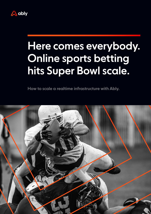

# Here comes everybody. Online sports betting hits Super Bowl scale.

How to scale a realtime infrastructure with Ably.

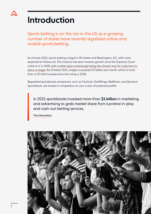

### Introduction

Sports betting is on the rise in the US as a growing number of states have recently legalized online and mobile sports betting.

As of early 2022, sports betting is legal in 30 states and Washington, DC, with more expected to follow suit. The industry has seen massive growth since the Supreme Court ruled on it in 2018, [with mobile apps increasingly being the chosen way for customers to](http://with mobile apps increasingly being the chosen way for customers to place a wager)  [place a wager](http://with mobile apps increasingly being the chosen way for customers to place a wager). By October 2021, wagers surpassed \$7 billion per month, which is more than a 20-fold increase since the ruling in 2018.

Regulated sportsbooks companies, such as FanDuel, DraftKings, BetRivers, and Barstool Sportsbook, are locked in competition to own a slice of potential profits.

In 2021 sportsbooks invested more than \$1 billion in marketing and advertising to grab market share from lucrative in-play and cash-out betting services.

[The Information](https://www.theinformation.com/articles/the-biggest-bet-in-sports-gambling-the-ad-push-to-grab-customers)

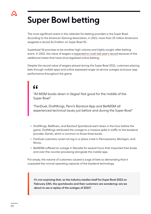## Super Bowl betting

The most significant event in the calendar for betting providers is the Super Bowl. According to the American Gaming Association, in 2021, more than 23 million Americans wagered a record \$4.3 billion on Super Bowl 55.

Superbowl 56 promises to be another high-volume and highly sought-after betting event. In 2022, the value of wagers is [expected to crush last year's record](https://www.americangaming.org/resources/americans-2021-nfl-betting-plans/) because of the additional states that have since legalized online betting.

Despite the record value of wagers placed during the Super Bowl 2021, customers placing bets through mobile apps and online expressed anger at service outages and poor app performance throughout the game.

#### "

"All MGM books down in Vegas! Not good for the middle of the Super Bowl"

"FanDuel, DraftKings, Penn's Barstool App and BetMGM all experienced technical issues just before and during the Super Bowl"

- DraftKings, BetRivers, and Barstool Sportsbook went down in the hour before the game. DraftKings attributed this outage to a massive spike in traffic to the backend provider, Kambi, which is common to those three books.
- FanDuel customers could not log in or place a bet in Pennsylvania, Michigan, and Illinois.
- BetMGM suffered an outage in Nevada for several hours that impacted their kiosks and over-the-counter processing alongside the mobile app.

Put simply, the volume of customers caused a surge of bets so demanding that it surpassed the normal operating capacity of the backend technology.

It's not surprising that, as the industry readies itself for Super Bowl 2022 on February 13th, the sportsbooks and their customers are wondering: are we about to see a replay of the outages of 2021?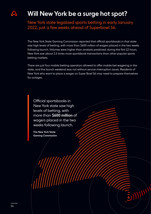

#### Will New York be a surge hot spot?

New York state legalized sports betting in early January 2022, just a few weeks ahead of Superbowl 56.

The New York State Gaming Commission reported that official sportsbooks in that state saw high levels of betting, with more than \$600 million of wagers placed in the two weeks following launch. Volumes were higher than analysts predicted; during the first 12 hours, New York saw about 2.5 times more sportsbook transactions than other popular sports betting markets.

There are just four mobile betting operators allowed to offer mobile bet wagering in the state, and the launch weekend was not without service interruption issues. Residents of New York who want to place a wager on Super Bowl 56 may need to prepare themselves for outages.

Official sportsbooks in New York state saw high levels of betting, with more than \$600 million of wagers placed in the two weeks following launch.

The New York State Gaming Commission

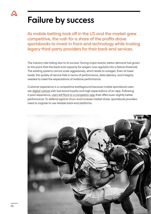

## Failure by success

As mobile betting took off in the US and the market grew competitive, the rush for a share of the profits drove sportsbooks to invest in front-end technology while trusting legacy third-party providers for their back-end services.

The industry risks failing due to its success. During major events, bettor demand has grown to the point that the back-end capacity for wagers now regularly hits a failure threshold. The existing systems cannot scale aggressively, which leads to outages. Even at lower loads, the quality of service fails in terms of performance, data delivery, and integrity needed to meet the expectations of realtime performance.

Customer experience is a competitive battleground because mobile sportsbook users are [digital natives](https://morningconsult.com/2022/01/18/sports-betting-trends/) with low brand loyalty and high expectations of an app. Following a poor experience, [users will flock to a competitor app](https://ably.com/resources/whitepapers/6-ways-to-lose-sports-customers) that offers even slightly better performance. To defend against churn and increase market share, sportsbook providers need to migrate to use reliable back-end platforms.

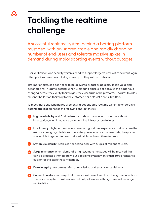## Tackling the realtime challenge

A successful realtime system behind a betting platform must deal with an unpredictable and rapidly changing number of end-users and tolerate massive spikes in demand during major sporting events without outages.

User verification and security systems need to support large volumes of concurrent login attempts. Customers want to log in swiftly, or they will be frustrated.

Information such as odds needs to be delivered as fast as possible, so it is valid and actionable for in-game betting. When users can't place a bet because the odds have changed before they verify their wager, they lose trust in the platform. Updates to odds must not be lost on their way to the customer, nor bets lost once submitted.

To meet these challenging requirements, a dependable realtime system to underpin a betting application needs the following characteristics:

- High availability and fault tolerance. It should continue to operate without interruption, even in adverse conditions like infrastructure failures.
- Low latency. High performance to ensure a good user experience and minimize the risk of incurring high liabilities. The faster you receive and process bets, the quicker you're able to generate new, updated odds and send them to users.
- Dynamic elasticity. Scales as needed to deal with surges of millions of users.
- Surge resistance. When demand is highest, more messages will be received than can be processed immediately, but a realtime system with critical surge resistance guarantees to store these messages.

Data integrity guarantees. Message ordering and exactly once delivery.

Connection-state recovery. End-users should never lose data during disconnections. The realtime system must ensure continuity of service with high levels of message survivability.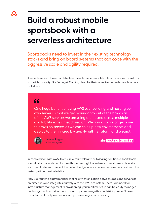

### Build a robust mobile sportsbook with a serverless architecture

Sportsbooks need to invest in their existing technology stacks and bring on board systems that can cope with the aggressive scale and agility required.

A serverless cloud-based architecture provides a dependable infrastructure with elasticity to match capacity. [Sky Betting & Gaming describe their move to a serverless architecture](https://sbg.technology/2017/09/07/trading-on-aws/) as follows:

#### $66$

One huge benefit of using AWS over building and hosting our own servers is that we get redundancy out of the box as all of the AWS services we are using are hosted across multiple availability zones in each region...We now also no longer have to provision servers as we can spin up new environments and deploy to them incredibly quickly with Terraform and a script.



Leanne Jagger Software Engineer

**sky** betting & gaming

In combination with AWS, to ensure a fault-tolerant, autoscaling solution, a sportsbook should adopt a realtime platform that offers a global network to send time-critical data such as odds to end-users at the network edge in realtime, and receive bets back into the system, with utmost reliability.

[Ably](https://www.ably.com) is a realtime platform that simplifies synchronization between apps and serverless architectures and [integrates natively with the AWS ecosystem.](https://ably.com/aws/serverless) There is no need for infrastructure management & provisioning: your realtime setup can be easily managed and integrated via a dashboard or API. By combining Ably and AWS, you don't have to consider availability and redundancy or cross-region provisioning.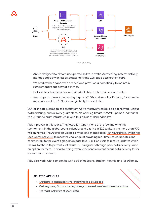



- Ably is designed to absorb unexpected spikes in traffic. Autoscaling systems actively manage capacity across 15 datacenters and 205 edge acceleration PoPs.
- We predict when capacity is needed and provision automatically to maintain sufficient spare capacity at all times.
- Datacenters that become overloaded will shed traffic to other datacenters.
- Any single customer experiencing a spike of 100x their usual traffic load, for example, may only result in a 10% increase globally for our cluster.

Out-of-the-box, companies benefit from Ably's massively scalable global network, unique data ordering, and delivery guarantees. We offer legitimate 99.999% uptime SLAs thanks to our [fault-tolerant infrastructure](https://ably.com/blog/engineering-dependability-and-fault-tolerance-in-a-distributed-system) and [four pillars of dependability](https://ably.com/four-pillars-of-dependability).

Ably is proven in this space. The [Australian Open](https://ausopen.com/) is one of the four major tennis tournaments in the global sports calendar and airs live in 220 territories to more than 900 million homes. The Australian Open is owned and managed by [Tennis Australia, which has](https://ably.com/case-studies/tennis-australia)  [used Ably since 2018](https://ably.com/case-studies/tennis-australia) to meet the challenge of providing real-time scores, updates and commentary to the event's global fan base (over 1 million users to receive updates within 500ms, for the 95th percentile of all users). Losing users through poor data delivery is not an option for them. Their advertising revenue depends on continuous data delivery for its sponsors and partners.

Ably also works with companies such as Genius Sports, Stadion, Fanmio and NeoGames.

#### RELATED ARTICLES

- [Architectural design patterns for betting app developers](https://ably.com/blog/design-patterns-betting-apps)
- Online gaming  $\delta$  sports betting: 6 ways to exceed users' realtime expectations
- [The real\(time\) future of sports data](https://ably.com/blog/the-real-time-future-of-sports-data)